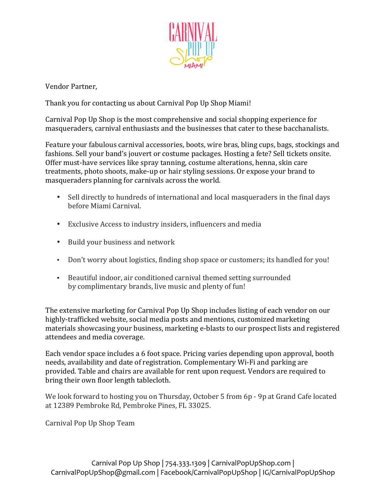

Vendor Partner,

Thank you for contacting us about Carnival Pop Up Shop Miami!

Carnival Pop Up Shop is the most comprehensive and social shopping experience for masqueraders, carnival enthusiasts and the businesses that cater to these bacchanalists.

Feature your fabulous carnival accessories, boots, wire bras, bling cups, bags, stockings and fashions. Sell your band's jouvert or costume packages. Hosting a fete? Sell tickets onsite. Offer must-have services like spray tanning, costume alterations, henna, skin care treatments, photo shoots, make-up or hair styling sessions. Or expose your brand to masqueraders planning for carnivals across the world.

- Sell directly to hundreds of international and local masqueraders in the final days before Miami Carnival.
- Exclusive Access to industry insiders, influencers and media
- Build your business and network
- Don't worry about logistics, finding shop space or customers; its handled for you!
- Beautiful indoor, air conditioned carnival themed setting surrounded by complimentary brands, live music and plenty of fun!

The extensive marketing for Carnival Pop Up Shop includes listing of each vendor on our highly-trafficked website, social media posts and mentions, customized marketing materials showcasing your business, marketing e-blasts to our prospect lists and registered attendees and media coverage.

Each vendor space includes a 6 foot space. Pricing varies depending upon approval, booth needs, availability and date of registration. Complementary Wi-Fi and parking are provided. Table and chairs are available for rent upon request. Vendors are required to bring their own floor length tablecloth.

We look forward to hosting you on Thursday, October 5 from 6p - 9p at Grand Cafe located at 12389 Pembroke Rd, Pembroke Pines, FL 33025.

Carnival Pop Up Shop Team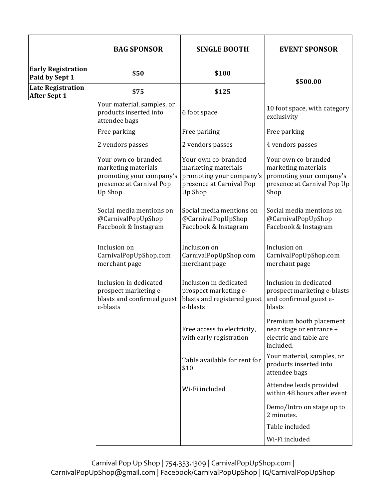|                                                 | <b>BAG SPONSOR</b>                                                                                                   | <b>SINGLE BOOTH</b>                                                                                                  | <b>EVENT SPONSOR</b>                                                                                          |
|-------------------------------------------------|----------------------------------------------------------------------------------------------------------------------|----------------------------------------------------------------------------------------------------------------------|---------------------------------------------------------------------------------------------------------------|
| <b>Early Registration</b><br>Paid by Sept 1     | \$50                                                                                                                 | \$100                                                                                                                | \$500.00                                                                                                      |
| <b>Late Registration</b><br><b>After Sept 1</b> | \$75                                                                                                                 | \$125                                                                                                                |                                                                                                               |
|                                                 | Your material, samples, or<br>products inserted into<br>attendee bags                                                | 6 foot space                                                                                                         | 10 foot space, with category<br>exclusivity                                                                   |
|                                                 | Free parking                                                                                                         | Free parking                                                                                                         | Free parking                                                                                                  |
|                                                 | 2 vendors passes                                                                                                     | 2 vendors passes                                                                                                     | 4 vendors passes                                                                                              |
|                                                 | Your own co-branded<br>marketing materials<br>promoting your company's<br>presence at Carnival Pop<br><b>Up Shop</b> | Your own co-branded<br>marketing materials<br>promoting your company's<br>presence at Carnival Pop<br><b>Up Shop</b> | Your own co-branded<br>marketing materials<br>promoting your company's<br>presence at Carnival Pop Up<br>Shop |
|                                                 | Social media mentions on<br>@CarnivalPopUpShop<br>Facebook & Instagram                                               | Social media mentions on<br>@CarnivalPopUpShop<br>Facebook & Instagram                                               | Social media mentions on<br>@CarnivalPopUpShop<br>Facebook & Instagram                                        |
|                                                 | Inclusion on<br>CarnivalPopUpShop.com<br>merchant page                                                               | Inclusion on<br>CarnivalPopUpShop.com<br>merchant page                                                               | Inclusion on<br>CarnivalPopUpShop.com<br>merchant page                                                        |
|                                                 | Inclusion in dedicated<br>prospect marketing e-<br>blasts and confirmed guest<br>e-blasts                            | Inclusion in dedicated<br>prospect marketing e-<br>blasts and registered guest<br>e-blasts                           | Inclusion in dedicated<br>prospect marketing e-blasts<br>and confirmed guest e-<br>blasts                     |
|                                                 |                                                                                                                      | Free access to electricity,<br>with early registration                                                               | Premium booth placement<br>near stage or entrance +<br>electric and table are<br>included.                    |
|                                                 |                                                                                                                      | Table available for rent for<br>\$10                                                                                 | Your material, samples, or<br>products inserted into<br>attendee bags                                         |
|                                                 |                                                                                                                      | Wi-Fi included                                                                                                       | Attendee leads provided<br>within 48 hours after event                                                        |
|                                                 |                                                                                                                      |                                                                                                                      | Demo/Intro on stage up to<br>2 minutes.                                                                       |
|                                                 |                                                                                                                      |                                                                                                                      | Table included                                                                                                |
|                                                 |                                                                                                                      |                                                                                                                      | Wi-Fi included                                                                                                |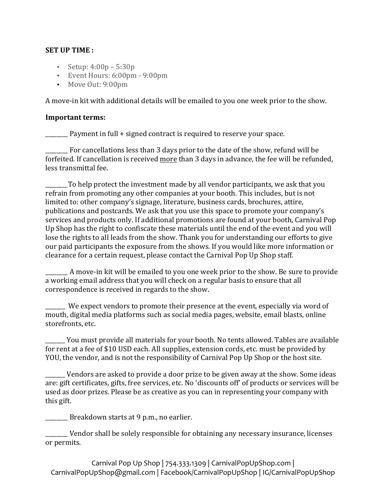## **SET UP TIME** :

- Setup:  $4:00p 5:30p$
- $\cdot$  Event Hours: 6:00pm 9:00pm
- Move Out: 9:00pm

A move-in kit with additional details will be emailed to you one week prior to the show.

## **Important terms:**

 $\Box$  Payment in full + signed contract is required to reserve your space.

For cancellations less than 3 days prior to the date of the show, refund will be forfeited. If cancellation is received more than 3 days in advance, the fee will be refunded, less transmittal fee.

To help protect the investment made by all vendor participants, we ask that you refrain from promoting any other companies at your booth. This includes, but is not limited to: other company's signage, literature, business cards, brochures, attire, publications and postcards. We ask that you use this space to promote your company's services and products only. If additional promotions are found at your booth, Carnival Pop Up Shop has the right to confiscate these materials until the end of the event and you will lose the rights to all leads from the show. Thank you for understanding our efforts to give our paid participants the exposure from the shows. If you would like more information or clearance for a certain request, please contact the Carnival Pop Up Shop staff.

 $\_$  A move-in kit will be emailed to you one week prior to the show. Be sure to provide a working email address that you will check on a regular basis to ensure that all correspondence is received in regards to the show.

We expect vendors to promote their presence at the event, especially via word of mouth, digital media platforms such as social media pages, website, email blasts, online storefronts, etc.

\_\_\_\_\_\_\_ You must provide all materials for your booth. No tents allowed. Tables are available for rent at a fee of \$10 USD each. All supplies, extension cords, etc. must be provided by YOU, the vendor, and is not the responsibility of Carnival Pop Up Shop or the host site.

\_\_\_\_\_\_\_ Vendors are asked to provide a door prize to be given away at the show. Some ideas are: gift certificates, gifts, free services, etc. No 'discounts off' of products or services will be used as door prizes. Please be as creative as you can in representing your company with this gift.

Breakdown starts at 9 p.m., no earlier.

\_\_\_\_\_\_\_\_ Vendor shall be solely responsible for obtaining any necessary insurance, licenses or permits.

Carnival Pop Up Shop | 754.333.1309 | CarnivalPopUpShop.com | CarnivalPopUpShop@gmail.com | Facebook/CarnivalPopUpShop | IG/CarnivalPopUpShop